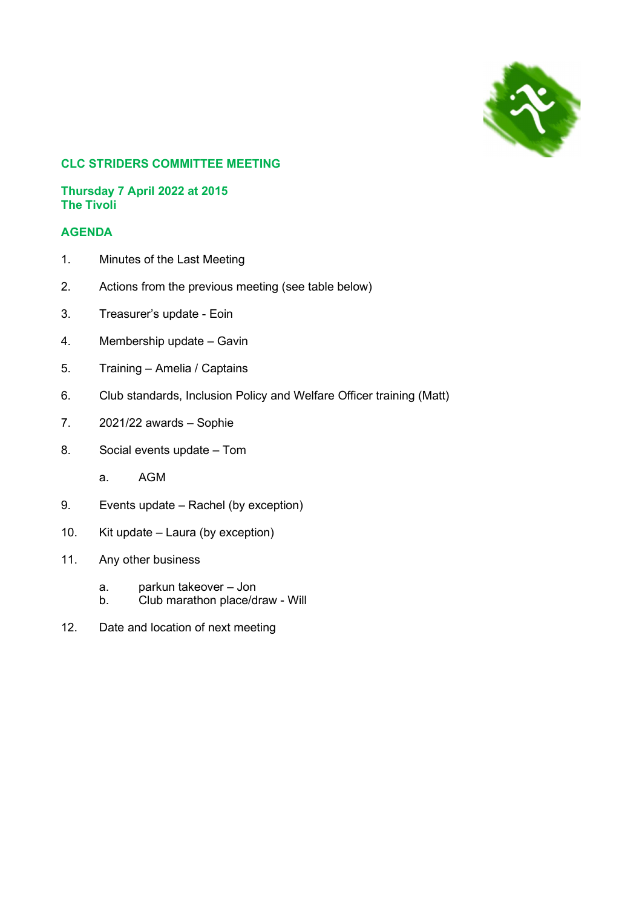

# CLC STRIDERS COMMITTEE MEETING

# Thursday 7 April 2022 at 2015 The Tivoli

# AGENDA

- 1. Minutes of the Last Meeting
- 2. Actions from the previous meeting (see table below)
- 3. Treasurer's update Eoin
- 4. Membership update Gavin
- 5. Training Amelia / Captains
- 6. Club standards, Inclusion Policy and Welfare Officer training (Matt)
- 7. 2021/22 awards Sophie
- 8. Social events update Tom
	- a. AGM
- 9. Events update Rachel (by exception)
- 10. Kit update Laura (by exception)
- 11. Any other business
	- a. parkun takeover Jon
	- b. Club marathon place/draw Will
- 12. Date and location of next meeting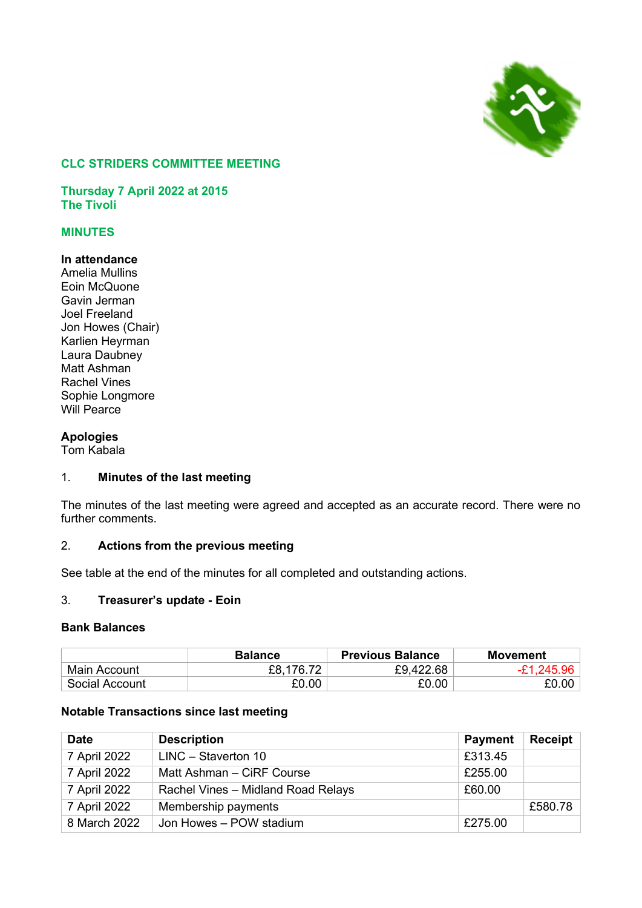

# CLC STRIDERS COMMITTEE MEETING

Thursday 7 April 2022 at 2015 The Tivoli

# MINUTES

# In attendance

Amelia Mullins Eoin McQuone Gavin Jerman Joel Freeland Jon Howes (Chair) Karlien Heyrman Laura Daubney Matt Ashman Rachel Vines Sophie Longmore Will Pearce

# Apologies

Tom Kabala

# 1. Minutes of the last meeting

The minutes of the last meeting were agreed and accepted as an accurate record. There were no further comments.

### 2. Actions from the previous meeting

See table at the end of the minutes for all completed and outstanding actions.

#### 3. Treasurer's update - Eoin

### Bank Balances

|                | <b>Balance</b> | <b>Previous Balance</b> | Movement     |
|----------------|----------------|-------------------------|--------------|
| Main Account   | £8,176.72      | £9,422.68               | $-E1,245.96$ |
| Social Account | £0.00          | £0.00                   | £0.00        |

#### Notable Transactions since last meeting

| <b>Date</b>  | <b>Description</b>                 | <b>Payment</b> | Receipt |
|--------------|------------------------------------|----------------|---------|
| 7 April 2022 | LINC - Staverton 10                | £313.45        |         |
| 7 April 2022 | Matt Ashman - CiRF Course          | £255.00        |         |
| 7 April 2022 | Rachel Vines - Midland Road Relays | £60.00         |         |
| 7 April 2022 | Membership payments                |                | £580.78 |
| 8 March 2022 | Jon Howes - POW stadium            | £275.00        |         |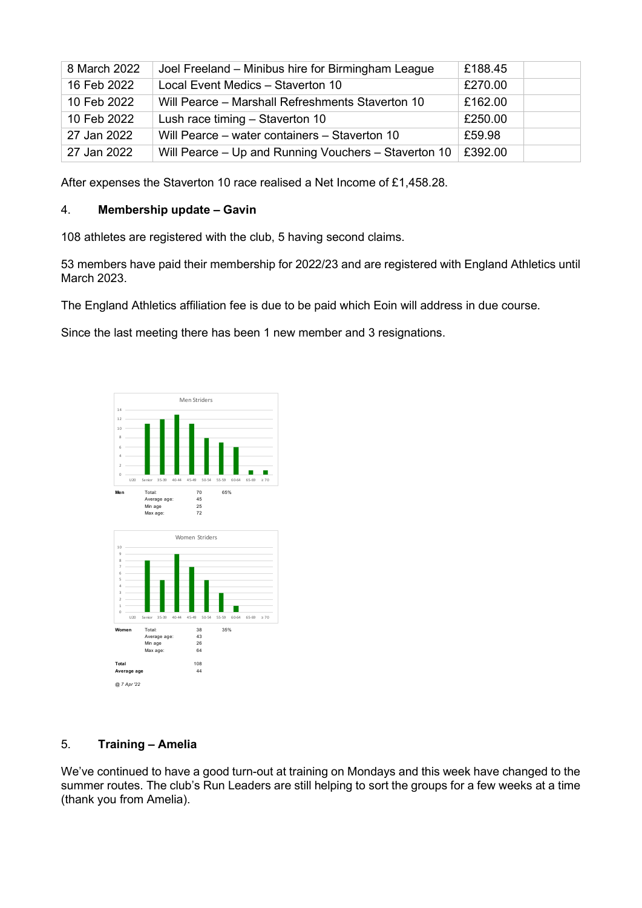| 8 March 2022 | Joel Freeland - Minibus hire for Birmingham League   | £188.45 |
|--------------|------------------------------------------------------|---------|
| 16 Feb 2022  | Local Event Medics - Staverton 10                    | £270.00 |
| 10 Feb 2022  | Will Pearce - Marshall Refreshments Staverton 10     | £162.00 |
| 10 Feb 2022  | Lush race timing - Staverton 10                      | £250.00 |
| 27 Jan 2022  | Will Pearce – water containers – Staverton 10        | £59.98  |
| 27 Jan 2022  | Will Pearce – Up and Running Vouchers – Staverton 10 | £392.00 |

After expenses the Staverton 10 race realised a Net Income of £1,458.28.

# 4. Membership update – Gavin

108 athletes are registered with the club, 5 having second claims.

53 members have paid their membership for 2022/23 and are registered with England Athletics until March 2023.

The England Athletics affiliation fee is due to be paid which Eoin will address in due course.

Since the last meeting there has been 1 new member and 3 resignations.



# 5. Training – Amelia

We've continued to have a good turn-out at training on Mondays and this week have changed to the summer routes. The club's Run Leaders are still helping to sort the groups for a few weeks at a time (thank you from Amelia).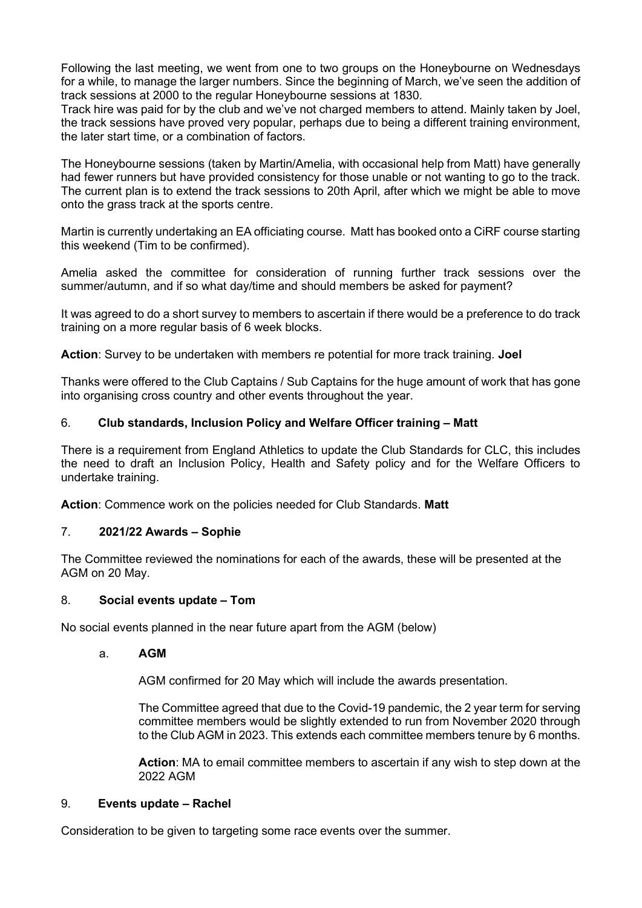Following the last meeting, we went from one to two groups on the Honeybourne on Wednesdays for a while, to manage the larger numbers. Since the beginning of March, we've seen the addition of track sessions at 2000 to the regular Honeybourne sessions at 1830.

Track hire was paid for by the club and we've not charged members to attend. Mainly taken by Joel, the track sessions have proved very popular, perhaps due to being a different training environment, the later start time, or a combination of factors.

The Honeybourne sessions (taken by Martin/Amelia, with occasional help from Matt) have generally had fewer runners but have provided consistency for those unable or not wanting to go to the track. The current plan is to extend the track sessions to 20th April, after which we might be able to move onto the grass track at the sports centre.

Martin is currently undertaking an EA officiating course. Matt has booked onto a CiRF course starting this weekend (Tim to be confirmed).

Amelia asked the committee for consideration of running further track sessions over the summer/autumn, and if so what day/time and should members be asked for payment?

It was agreed to do a short survey to members to ascertain if there would be a preference to do track training on a more regular basis of 6 week blocks.

Action: Survey to be undertaken with members re potential for more track training. Joel

Thanks were offered to the Club Captains / Sub Captains for the huge amount of work that has gone into organising cross country and other events throughout the year.

# 6. Club standards, Inclusion Policy and Welfare Officer training – Matt

There is a requirement from England Athletics to update the Club Standards for CLC, this includes the need to draft an Inclusion Policy, Health and Safety policy and for the Welfare Officers to undertake training.

Action: Commence work on the policies needed for Club Standards. Matt

# 7. 2021/22 Awards – Sophie

The Committee reviewed the nominations for each of the awards, these will be presented at the AGM on 20 May.

# 8. Social events update – Tom

No social events planned in the near future apart from the AGM (below)

#### a. AGM

AGM confirmed for 20 May which will include the awards presentation.

The Committee agreed that due to the Covid-19 pandemic, the 2 year term for serving committee members would be slightly extended to run from November 2020 through to the Club AGM in 2023. This extends each committee members tenure by 6 months.

Action: MA to email committee members to ascertain if any wish to step down at the 2022 AGM

#### 9. Events update – Rachel

Consideration to be given to targeting some race events over the summer.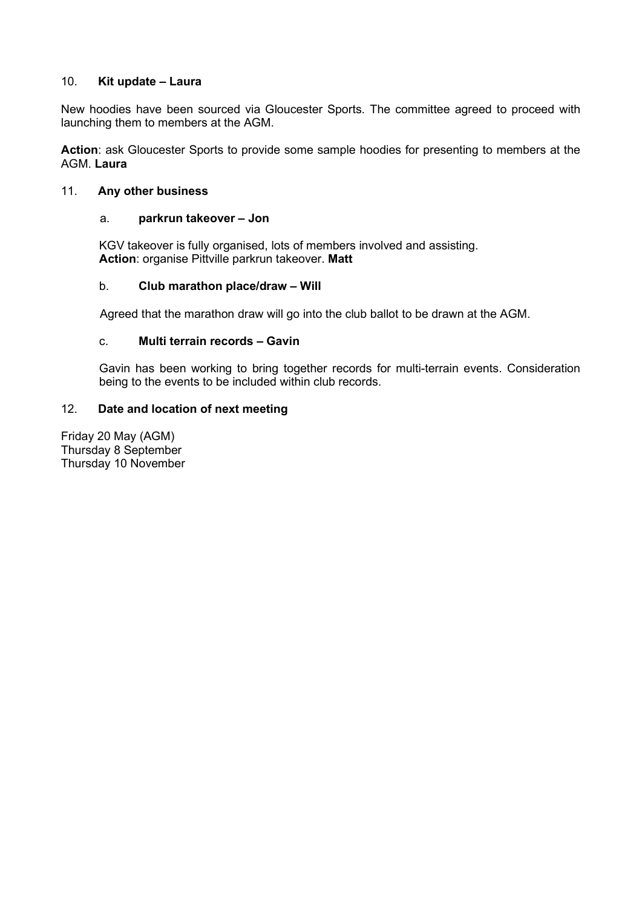# 10. Kit update – Laura

New hoodies have been sourced via Gloucester Sports. The committee agreed to proceed with launching them to members at the AGM.

Action: ask Gloucester Sports to provide some sample hoodies for presenting to members at the AGM. Laura

# 11. Any other business

### a. parkrun takeover – Jon

KGV takeover is fully organised, lots of members involved and assisting. Action: organise Pittville parkrun takeover. Matt

#### b. Club marathon place/draw – Will

Agreed that the marathon draw will go into the club ballot to be drawn at the AGM.

# c. Multi terrain records – Gavin

Gavin has been working to bring together records for multi-terrain events. Consideration being to the events to be included within club records.

### 12. Date and location of next meeting

Friday 20 May (AGM) Thursday 8 September Thursday 10 November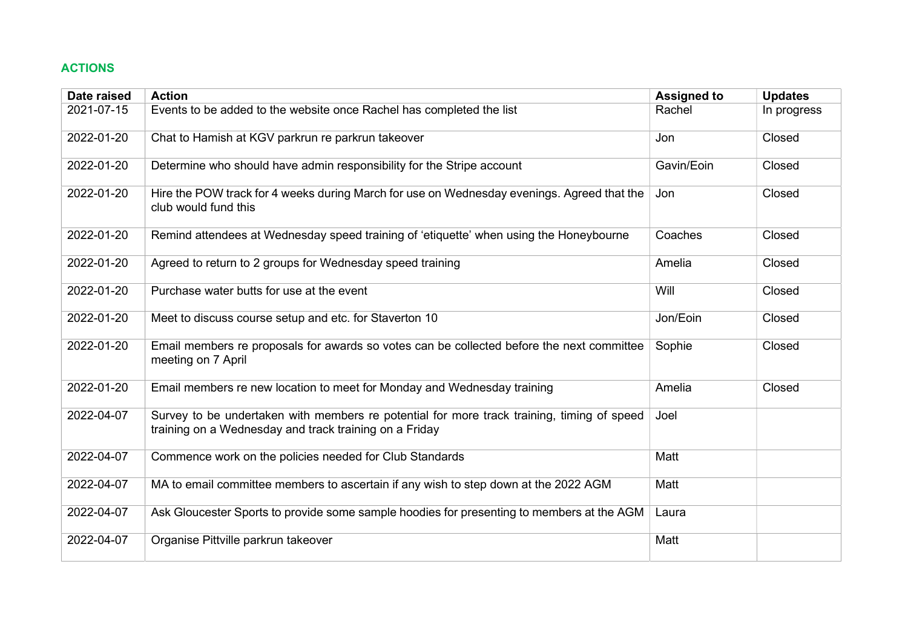# ACTIONS

| Date raised | <b>Action</b>                                                                                                                                        | <b>Assigned to</b> | <b>Updates</b> |
|-------------|------------------------------------------------------------------------------------------------------------------------------------------------------|--------------------|----------------|
| 2021-07-15  | Events to be added to the website once Rachel has completed the list                                                                                 | Rachel             | In progress    |
| 2022-01-20  | Chat to Hamish at KGV parkrun re parkrun takeover                                                                                                    | Jon                | Closed         |
| 2022-01-20  | Determine who should have admin responsibility for the Stripe account                                                                                | Gavin/Eoin         | Closed         |
| 2022-01-20  | Hire the POW track for 4 weeks during March for use on Wednesday evenings. Agreed that the<br>club would fund this                                   | Jon                | Closed         |
| 2022-01-20  | Remind attendees at Wednesday speed training of 'etiquette' when using the Honeybourne                                                               | Coaches            | Closed         |
| 2022-01-20  | Agreed to return to 2 groups for Wednesday speed training                                                                                            | Amelia             | Closed         |
| 2022-01-20  | Purchase water butts for use at the event                                                                                                            | Will               | Closed         |
| 2022-01-20  | Meet to discuss course setup and etc. for Staverton 10                                                                                               | Jon/Eoin           | Closed         |
| 2022-01-20  | Email members re proposals for awards so votes can be collected before the next committee<br>meeting on 7 April                                      | Sophie             | Closed         |
| 2022-01-20  | Email members re new location to meet for Monday and Wednesday training                                                                              | Amelia             | Closed         |
| 2022-04-07  | Survey to be undertaken with members re potential for more track training, timing of speed<br>training on a Wednesday and track training on a Friday | Joel               |                |
| 2022-04-07  | Commence work on the policies needed for Club Standards                                                                                              | Matt               |                |
| 2022-04-07  | MA to email committee members to ascertain if any wish to step down at the 2022 AGM                                                                  | Matt               |                |
| 2022-04-07  | Ask Gloucester Sports to provide some sample hoodies for presenting to members at the AGM                                                            | Laura              |                |
| 2022-04-07  | Organise Pittville parkrun takeover                                                                                                                  | Matt               |                |